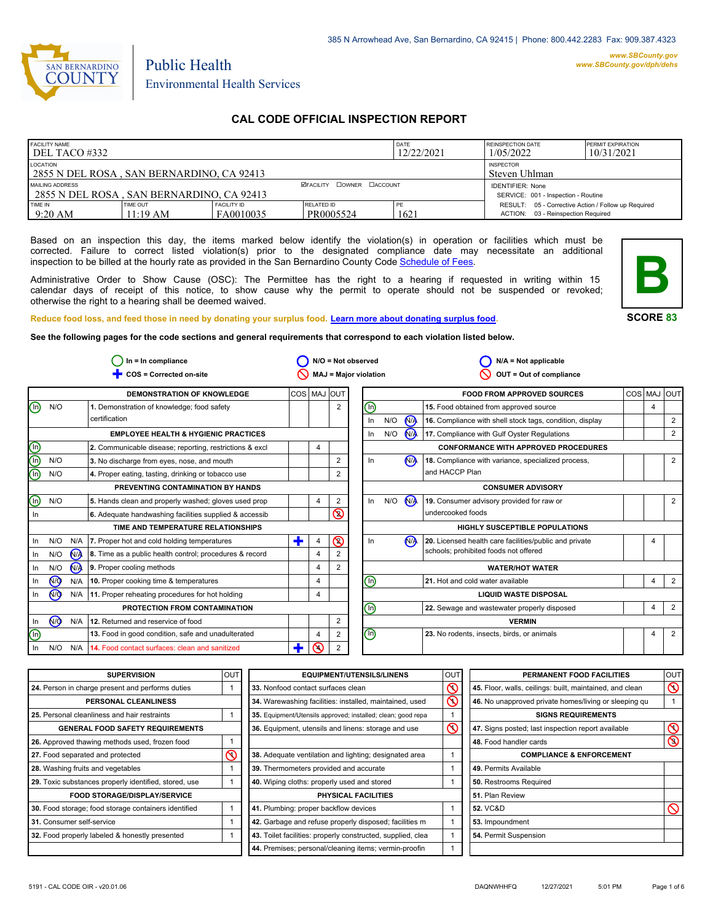

# Public Health Environmental Health Services

# **CAL CODE OFFICIAL INSPECTION REPORT**

| <b>FACILITY NAME</b><br>DEL TACO #332                        |                             |                                 |                                  | DATE<br>12/22/2021 | <b>REINSPECTION DATE</b><br>1/05/2022                                                     | <b>PERMIT EXPIRATION</b><br>10/31/2021 |
|--------------------------------------------------------------|-----------------------------|---------------------------------|----------------------------------|--------------------|-------------------------------------------------------------------------------------------|----------------------------------------|
| LOCATION<br>2855 N DEL ROSA, SAN BERNARDINO, CA 92413        |                             |                                 |                                  |                    | <b>INSPECTOR</b><br>Steven Uhlman                                                         |                                        |
| MAILING ADDRESS<br>2855 N DEL ROSA, SAN BERNARDINO, CA 92413 |                             |                                 | <b>ØFACILITY COWNER CACCOUNT</b> |                    | <b>IDENTIFIER: None</b><br>SERVICE: 001 - Inspection - Routine                            |                                        |
| TIME IN<br>$9:20$ AM                                         | <b>TIME OUT</b><br>11:19 AM | <b>FACILITY ID</b><br>FA0010035 | RELATED ID<br>PR0005524          | PE<br>1621         | RESULT: 05 - Corrective Action / Follow up Required<br>ACTION: 03 - Reinspection Required |                                        |

Based on an inspection this day, the items marked below identify the violation(s) in operation or facilities which must be corrected. Failure to correct listed violation(s) prior to the designated compliance date may necessitate an additional inspection to be billed at the hourly rate as provided in the San Bernardino County Co[de Schedule of Fees.](https://codelibrary.amlegal.com/codes/sanbernardino/latest/sanberncty_ca/0-0-0-122474#JD_16.0213B)

Administrative Order to Show Cause (OSC): The Permittee has the right to a hearing if requested in writing within 15 calendar days of receipt of this notice, to show cause why the permit to operate should not be suspended or revoked; otherwise the right to a hearing shall be deemed waived.



**SCORE 83**

#### **Reduce food loss, and feed those in need by donating your surplus f[ood. Learn more about donating surplus food.](https://wp.sbcounty.gov/dph/programs/ehs/charitable-food-service/)**

**See the following pages for the code sections and general requirements that correspond to each violation listed below.**

|                                | $ln = ln$ compliance |     |                                                         | $N/O = Not observed$ |                |                              | $N/A = Not applicable$         |     |                |                                                          |             |                |
|--------------------------------|----------------------|-----|---------------------------------------------------------|----------------------|----------------|------------------------------|--------------------------------|-----|----------------|----------------------------------------------------------|-------------|----------------|
|                                |                      |     | COS = Corrected on-site                                 |                      |                | <b>MAJ = Major violation</b> |                                |     |                | OUT = Out of compliance                                  |             |                |
|                                |                      |     | <b>DEMONSTRATION OF KNOWLEDGE</b>                       | COS MAJ OUT          |                |                              |                                |     |                | <b>FOOD FROM APPROVED SOURCES</b>                        | COS MAJ OUT |                |
| $\textcircled{\scriptsize{1}}$ | N/O                  |     | 1. Demonstration of knowledge; food safety              |                      |                | $\overline{2}$               | ⓪                              |     |                | 15. Food obtained from approved source                   | 4           |                |
|                                |                      |     | certification                                           |                      |                |                              | In                             | N/O | $\sqrt{M}$     | 16. Compliance with shell stock tags, condition, display |             | 2              |
|                                |                      |     | <b>EMPLOYEE HEALTH &amp; HYGIENIC PRACTICES</b>         |                      |                |                              | In                             | N/O | $\mathbf{M}$   | 17. Compliance with Gulf Oyster Regulations              |             | 2              |
|                                |                      |     | 2. Communicable disease; reporting, restrictions & excl |                      | 4              |                              |                                |     |                | <b>CONFORMANCE WITH APPROVED PROCEDURES</b>              |             |                |
| eie                            | N/O                  |     | 3. No discharge from eyes, nose, and mouth              |                      |                | 2                            | In                             |     | N <sub>A</sub> | 18. Compliance with variance, specialized process,       |             | 2              |
| ⋒                              | N/O                  |     | 4. Proper eating, tasting, drinking or tobacco use      |                      |                | 2                            |                                |     |                | and HACCP Plan                                           |             |                |
|                                |                      |     | PREVENTING CONTAMINATION BY HANDS                       |                      |                |                              |                                |     |                | <b>CONSUMER ADVISORY</b>                                 |             |                |
| $\textcircled{\scriptsize{1}}$ | N/O                  |     | 5. Hands clean and properly washed; gloves used prop    |                      | 4              | 2                            | $\ln$                          | N/O | N <sub>/</sub> | 19. Consumer advisory provided for raw or                |             | 2              |
| In                             |                      |     | 6. Adequate handwashing facilities supplied & accessib  |                      |                | Q                            |                                |     |                | undercooked foods                                        |             |                |
|                                |                      |     | TIME AND TEMPERATURE RELATIONSHIPS                      |                      |                |                              |                                |     |                | <b>HIGHLY SUSCEPTIBLE POPULATIONS</b>                    |             |                |
| In                             | N/O                  | N/A | 7. Proper hot and cold holding temperatures             | Ŧ                    | 4              | $\circledcirc$               | In                             |     | <b>NA</b>      | 20. Licensed health care facilities/public and private   | 4           |                |
| In.                            | N/O                  | N/A | 8. Time as a public health control; procedures & record |                      | $\overline{4}$ |                              |                                |     |                | schools; prohibited foods not offered                    |             |                |
| In                             | N/O                  | N/A | 9. Proper cooling methods                               |                      | $\overline{4}$ | 2                            |                                |     |                | <b>WATER/HOT WATER</b>                                   |             |                |
| In                             | ∞                    | N/A | 10. Proper cooking time & temperatures                  |                      | $\overline{4}$ |                              | ⊕                              |     |                | 21. Hot and cold water available                         | 4           | 2              |
| In.                            | N <sub>O</sub>       | N/A | 11. Proper reheating procedures for hot holding         |                      | 4              |                              |                                |     |                | <b>LIQUID WASTE DISPOSAL</b>                             |             |                |
|                                |                      |     | PROTECTION FROM CONTAMINATION                           |                      |                |                              | ⋒                              |     |                | 22. Sewage and wastewater properly disposed              | 4           | $\overline{2}$ |
| In                             | N <sub>O</sub>       | N/A | 12. Returned and reservice of food                      |                      |                | 2                            |                                |     |                | <b>VERMIN</b>                                            |             |                |
| O)                             |                      |     | 13. Food in good condition, safe and unadulterated      |                      | 4              | 2                            | $\textcircled{\scriptsize{0}}$ |     |                | 23. No rodents, insects, birds, or animals               | 4           | $\overline{2}$ |
| In                             | N/O                  | N/A | 14. Food contact surfaces: clean and sanitized          | Ŧ                    | ⋒              | 2                            |                                |     |                |                                                          |             |                |

| <b>SUPERVISION</b>                                    | <b>OUT</b> | <b>EQUIPMENT/UTENSILS/LINENS</b>                             | OUT      | PERMANENT FOOD FACILITIES                                | <b>OUT</b>         |
|-------------------------------------------------------|------------|--------------------------------------------------------------|----------|----------------------------------------------------------|--------------------|
| 24. Person in charge present and performs duties      |            | 33. Nonfood contact surfaces clean                           | $\infty$ | 45. Floor, walls, ceilings: built, maintained, and clean | $\overline{\circ}$ |
| PERSONAL CLEANLINESS                                  |            | 34. Warewashing facilities: installed, maintained, used      | $\infty$ | 46. No unapproved private homes/living or sleeping qu    |                    |
| 25. Personal cleanliness and hair restraints          |            | 35. Equipment/Utensils approved; installed; clean; good repa |          | <b>SIGNS REQUIREMENTS</b>                                |                    |
| <b>GENERAL FOOD SAFETY REQUIREMENTS</b>               |            | 36. Equipment, utensils and linens: storage and use          | $\infty$ | 47. Signs posted; last inspection report available       | $\circledcirc$     |
| 26. Approved thawing methods used, frozen food        |            |                                                              |          | 48. Food handler cards                                   | $\circledcirc$     |
| 27. Food separated and protected                      | к          | 38. Adequate ventilation and lighting; designated area       |          | <b>COMPLIANCE &amp; ENFORCEMENT</b>                      |                    |
| 28. Washing fruits and vegetables                     |            | 39. Thermometers provided and accurate                       |          | 49. Permits Available                                    |                    |
| 29. Toxic substances properly identified, stored, use |            | 40. Wiping cloths: properly used and stored                  |          | 50. Restrooms Required                                   |                    |
| <b>FOOD STORAGE/DISPLAY/SERVICE</b>                   |            | PHYSICAL FACILITIES                                          |          | 51. Plan Review                                          |                    |
| 30. Food storage; food storage containers identified  |            | 41. Plumbing: proper backflow devices                        |          | <b>52. VC&amp;D</b>                                      | $\infty$           |
| 31. Consumer self-service                             |            | 42. Garbage and refuse properly disposed; facilities m       |          | 53. Impoundment                                          |                    |
| 32. Food properly labeled & honestly presented        |            | 43. Toilet facilities: properly constructed, supplied, clea  |          | 54. Permit Suspension                                    |                    |
|                                                       |            | 44. Premises; personal/cleaning items; vermin-proofin        |          |                                                          |                    |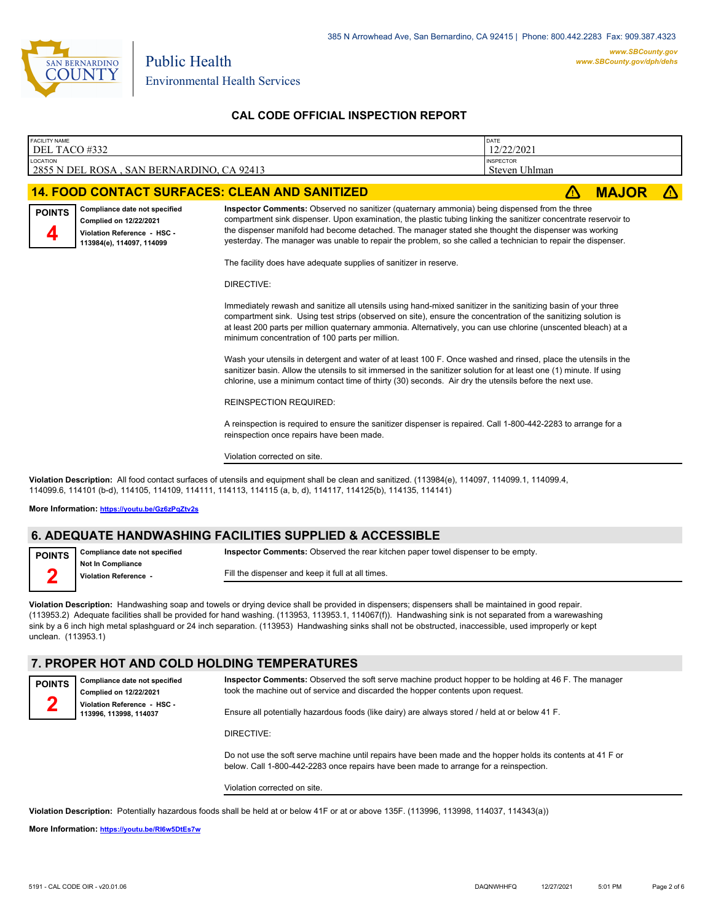

| <b>FACILITY NAME</b><br>DEL TACO #332 |                                                                                                                                                                                                                                                                                                                                                 |                                                                                                                                                                                                                                                                                                                                                                                                                                                                                                               | DATE<br>12/22/2021                       |    |              |  |
|---------------------------------------|-------------------------------------------------------------------------------------------------------------------------------------------------------------------------------------------------------------------------------------------------------------------------------------------------------------------------------------------------|---------------------------------------------------------------------------------------------------------------------------------------------------------------------------------------------------------------------------------------------------------------------------------------------------------------------------------------------------------------------------------------------------------------------------------------------------------------------------------------------------------------|------------------------------------------|----|--------------|--|
| <b>LOCATION</b>                       | 2855 N DEL ROSA, SAN BERNARDINO, CA 92413                                                                                                                                                                                                                                                                                                       |                                                                                                                                                                                                                                                                                                                                                                                                                                                                                                               | <b>INSPECTOR</b><br><b>Steven Uhlman</b> |    |              |  |
|                                       |                                                                                                                                                                                                                                                                                                                                                 | <b>14. FOOD CONTACT SURFACES: CLEAN AND SANITIZED</b>                                                                                                                                                                                                                                                                                                                                                                                                                                                         |                                          | ΛN | <b>MAJOR</b> |  |
| <b>POINTS</b>                         | Compliance date not specified<br>Complied on 12/22/2021<br>Violation Reference - HSC -<br>113984(e), 114097, 114099                                                                                                                                                                                                                             | Inspector Comments: Observed no sanitizer (quaternary ammonia) being dispensed from the three<br>compartment sink dispenser. Upon examination, the plastic tubing linking the sanitizer concentrate reservoir to<br>the dispenser manifold had become detached. The manager stated she thought the dispenser was working<br>yesterday. The manager was unable to repair the problem, so she called a technician to repair the dispenser.<br>The facility does have adequate supplies of sanitizer in reserve. |                                          |    |              |  |
|                                       |                                                                                                                                                                                                                                                                                                                                                 | DIRECTIVE:                                                                                                                                                                                                                                                                                                                                                                                                                                                                                                    |                                          |    |              |  |
|                                       |                                                                                                                                                                                                                                                                                                                                                 | Immediately rewash and sanitize all utensils using hand-mixed sanitizer in the sanitizing basin of your three<br>compartment sink. Using test strips (observed on site), ensure the concentration of the sanitizing solution is<br>at least 200 parts per million quaternary ammonia. Alternatively, you can use chlorine (unscented bleach) at a<br>minimum concentration of 100 parts per million.                                                                                                          |                                          |    |              |  |
|                                       | Wash your utensils in detergent and water of at least 100 F. Once washed and rinsed, place the utensils in the<br>sanitizer basin. Allow the utensils to sit immersed in the sanitizer solution for at least one (1) minute. If using<br>chlorine, use a minimum contact time of thirty (30) seconds. Air dry the utensils before the next use. |                                                                                                                                                                                                                                                                                                                                                                                                                                                                                                               |                                          |    |              |  |
|                                       |                                                                                                                                                                                                                                                                                                                                                 | <b>REINSPECTION REQUIRED:</b>                                                                                                                                                                                                                                                                                                                                                                                                                                                                                 |                                          |    |              |  |
|                                       |                                                                                                                                                                                                                                                                                                                                                 | A reinspection is required to ensure the sanitizer dispenser is repaired. Call 1-800-442-2283 to arrange for a<br>reinspection once repairs have been made.                                                                                                                                                                                                                                                                                                                                                   |                                          |    |              |  |
|                                       |                                                                                                                                                                                                                                                                                                                                                 | Violation corrected on site.                                                                                                                                                                                                                                                                                                                                                                                                                                                                                  |                                          |    |              |  |
|                                       | Violation Description: All food contact surfaces of utensils and equipment shall be clean and sanitized. (113984(e), 114097, 114099.1, 114099.4,<br>114099.6, 114101 (b-d), 114105, 114109, 114111, 114113, 114115 (a, b, d), 114117, 114125(b), 114135, 114141)                                                                                |                                                                                                                                                                                                                                                                                                                                                                                                                                                                                                               |                                          |    |              |  |

**More Information: <https://youtu.be/Gz6zPqZtv2s>**

#### **6. ADEQUATE HANDWASHING FACILITIES SUPPLIED & ACCESSIBLE**

| POINTS Compliance date not specified | Inspector Comments: Observed the rear kitchen paper towel dispenser to be empty. |
|--------------------------------------|----------------------------------------------------------------------------------|
| <b>Not In Compliance</b>             |                                                                                  |
| Violation Reference -                | Fill the dispenser and keep it full at all times.                                |
|                                      |                                                                                  |

**Violation Description:** Handwashing soap and towels or drying device shall be provided in dispensers; dispensers shall be maintained in good repair. (113953.2) Adequate facilities shall be provided for hand washing. (113953, 113953.1, 114067(f)). Handwashing sink is not separated from a warewashing sink by a 6 inch high metal splashguard or 24 inch separation. (113953) Handwashing sinks shall not be obstructed, inaccessible, used improperly or kept unclean. (113953.1)

#### **7. PROPER HOT AND COLD HOLDING TEMPERATURES**

**POINTS 2**

**Inspector Comments:** Observed the soft serve machine product hopper to be holding at 46 F. The manager took the machine out of service and discarded the hopper contents upon request.

Ensure all potentially hazardous foods (like dairy) are always stored / held at or below 41 F.

DIRECTIVE:

Do not use the soft serve machine until repairs have been made and the hopper holds its contents at 41 F or below. Call 1-800-442-2283 once repairs have been made to arrange for a reinspection.

Violation corrected on site.

**Violation Description:** Potentially hazardous foods shall be held at or below 41F or at or above 135F. (113996, 113998, 114037, 114343(a))

**More Information: <https://youtu.be/RI6w5DtEs7w>**

**Compliance date not specified Complied on 12/22/2021 Violation Reference - HSC - 113996, 113998, 114037**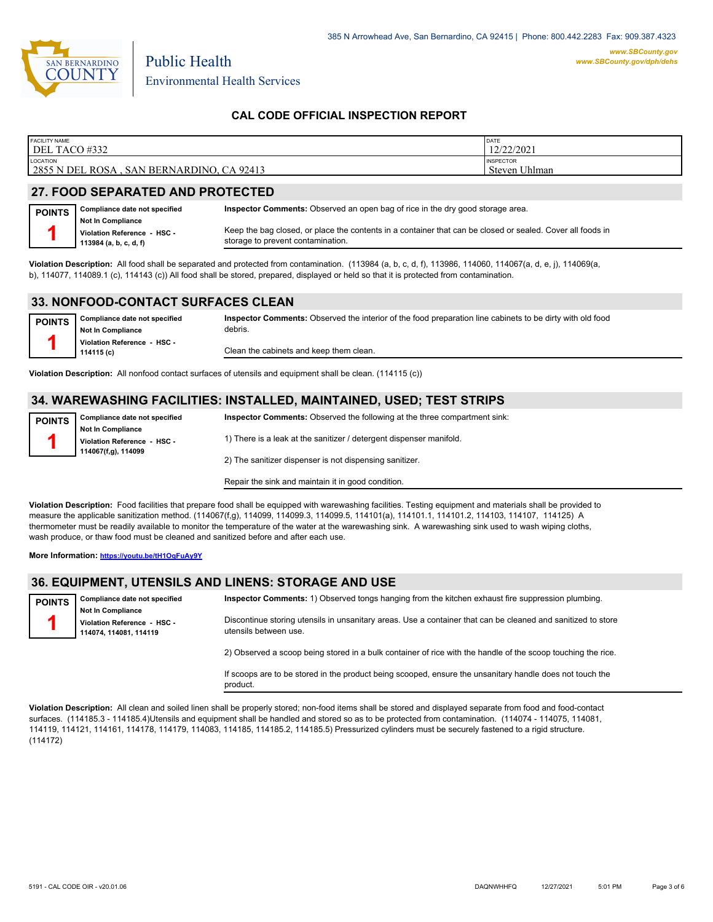

Environmental Health Services

Public Health

### **CAL CODE OFFICIAL INSPECTION REPORT**

| <b>FACILITY NAME</b><br>DEL TACO #332                        | DATE<br>12/22/2021<br>'4414041                      |
|--------------------------------------------------------------|-----------------------------------------------------|
| LOCATION<br>2855 N DEL ROSA<br>CA 92413<br>. SAN BERNARDINO, | <b>INSPECTOR</b><br><sup>I</sup> Jhlman<br>Steven I |
|                                                              |                                                     |

# **27. FOOD SEPARATED AND PROTECTED**

| <b>POINTS</b> | Compliance date not specified                                                     | <b>Inspector Comments:</b> Observed an open bag of rice in the dry good storage area.                                                           |
|---------------|-----------------------------------------------------------------------------------|-------------------------------------------------------------------------------------------------------------------------------------------------|
|               | <b>Not In Compliance</b><br>Violation Reference - HSC -<br>113984 (a, b, c, d, f) | Keep the bag closed, or place the contents in a container that can be closed or sealed. Cover all foods in<br>storage to prevent contamination. |
|               |                                                                                   |                                                                                                                                                 |

**Violation Description:** All food shall be separated and protected from contamination. (113984 (a, b, c, d, f), 113986, 114060, 114067(a, d, e, j), 114069(a, b), 114077, 114089.1 (c), 114143 (c)) All food shall be stored, prepared, displayed or held so that it is protected from contamination.

### **33. NONFOOD-CONTACT SURFACES CLEAN**

| <b>POINTS</b> | Compliance date not specified             | Inspector Comments: Observed the interior of the food preparation line cabinets to be dirty with old food |
|---------------|-------------------------------------------|-----------------------------------------------------------------------------------------------------------|
|               | <b>Not In Compliance</b>                  | debris.                                                                                                   |
|               | Violation Reference - HSC -<br>114115 (c) | Clean the cabinets and keep them clean.                                                                   |

**Violation Description:** All nonfood contact surfaces of utensils and equipment shall be clean. (114115 (c))

### **34. WAREWASHING FACILITIES: INSTALLED, MAINTAINED, USED; TEST STRIPS**

| <b>POINTS</b> | Compliance date not specified                      | <b>Inspector Comments:</b> Observed the following at the three compartment sink: |
|---------------|----------------------------------------------------|----------------------------------------------------------------------------------|
|               | Not In Compliance                                  |                                                                                  |
|               | Violation Reference - HSC -<br>114067(f,g), 114099 | 1) There is a leak at the sanitizer / detergent dispenser manifold.              |
|               |                                                    |                                                                                  |
|               |                                                    | 2) The sanitizer dispenser is not dispensing sanitizer.                          |

Repair the sink and maintain it in good condition.

**Violation Description:** Food facilities that prepare food shall be equipped with warewashing facilities. Testing equipment and materials shall be provided to measure the applicable sanitization method. (114067(f,g), 114099, 114099.3, 114099.5, 114101(a), 114101.1, 114101.2, 114103, 114107, 114125) A thermometer must be readily available to monitor the temperature of the water at the warewashing sink. A warewashing sink used to wash wiping cloths, wash produce, or thaw food must be cleaned and sanitized before and after each use.

**More Information: <https://youtu.be/tH1OqFuAy9Y>**

### **36. EQUIPMENT, UTENSILS AND LINENS: STORAGE AND USE**

| <b>POINTS</b> | <b>Compliance date not specified</b>                                            | Inspector Comments: 1) Observed tongs hanging from the kitchen exhaust fire suppression plumbing.                                     |
|---------------|---------------------------------------------------------------------------------|---------------------------------------------------------------------------------------------------------------------------------------|
|               | <b>Not In Compliance</b><br>Violation Reference - HSC -<br>114074.114081.114119 | Discontinue storing utensils in unsanitary areas. Use a container that can be cleaned and sanitized to store<br>utensils between use. |

2) Observed a scoop being stored in a bulk container of rice with the handle of the scoop touching the rice.

If scoops are to be stored in the product being scooped, ensure the unsanitary handle does not touch the product.

**Violation Description:** All clean and soiled linen shall be properly stored; non-food items shall be stored and displayed separate from food and food-contact surfaces. (114185.3 - 114185.4)Utensils and equipment shall be handled and stored so as to be protected from contamination. (114074 - 114075, 114081, 114119, 114121, 114161, 114178, 114179, 114083, 114185, 114185.2, 114185.5) Pressurized cylinders must be securely fastened to a rigid structure. (114172)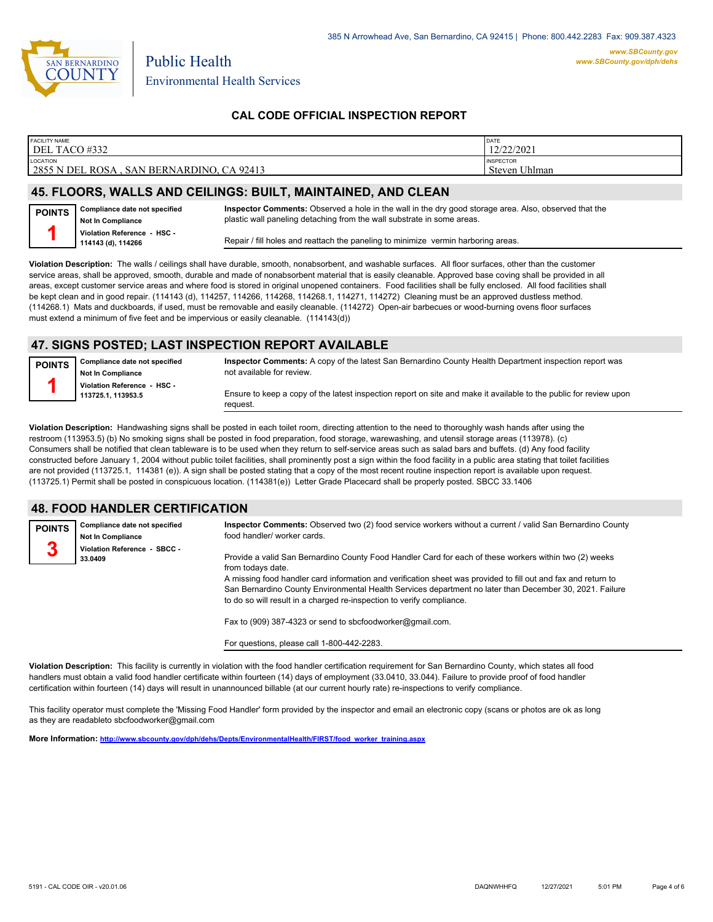

### **CAL CODE OFFICIAL INSPECTION REPORT**

| <b>FACILITY NAME</b>                       | DATE             |
|--------------------------------------------|------------------|
| DEL TACO #332                              | 12/22/2021       |
| <b>LOCATION</b>                            | <b>INSPECTOR</b> |
| 2855 N DEL ROSA , SAN BERNARDINO, CA 92413 | Steven Uhlman    |
|                                            |                  |

# **45. FLOORS, WALLS AND CEILINGS: BUILT, MAINTAINED, AND CLEAN**

| <b>POINTS</b> | Compliance date not specified |
|---------------|-------------------------------|
|               | Not In Compliance             |
|               | Violation Reference - HSC -   |
|               | 114143 (d), 114266            |

**Inspector Comments:** Observed a hole in the wall in the dry good storage area. Also, observed that the plastic wall paneling detaching from the wall substrate in some areas.

Repair / fill holes and reattach the paneling to minimize vermin harboring areas.

**Violation Description:** The walls / ceilings shall have durable, smooth, nonabsorbent, and washable surfaces. All floor surfaces, other than the customer service areas, shall be approved, smooth, durable and made of nonabsorbent material that is easily cleanable. Approved base coving shall be provided in all areas, except customer service areas and where food is stored in original unopened containers. Food facilities shall be fully enclosed. All food facilities shall be kept clean and in good repair. (114143 (d), 114257, 114266, 114268, 114268.1, 114271, 114272) Cleaning must be an approved dustless method. (114268.1) Mats and duckboards, if used, must be removable and easily cleanable. (114272) Open-air barbecues or wood-burning ovens floor surfaces must extend a minimum of five feet and be impervious or easily cleanable. (114143(d))

# **47. SIGNS POSTED; LAST INSPECTION REPORT AVAILABLE**

**Compliance date not specified Not In Compliance Violation Reference - HSC - 113725.1, 113953.5 POINTS 1 Inspector Comments:** A copy of the latest San Bernardino County Health Department inspection report was not available for review. Ensure to keep a copy of the latest inspection report on site and make it available to the public for review upon request.

**Violation Description:** Handwashing signs shall be posted in each toilet room, directing attention to the need to thoroughly wash hands after using the restroom (113953.5) (b) No smoking signs shall be posted in food preparation, food storage, warewashing, and utensil storage areas (113978). (c) Consumers shall be notified that clean tableware is to be used when they return to self-service areas such as salad bars and buffets. (d) Any food facility constructed before January 1, 2004 without public toilet facilities, shall prominently post a sign within the food facility in a public area stating that toilet facilities are not provided (113725.1, 114381 (e)). A sign shall be posted stating that a copy of the most recent routine inspection report is available upon request. (113725.1) Permit shall be posted in conspicuous location. (114381(e)) Letter Grade Placecard shall be properly posted. SBCC 33.1406

### **48. FOOD HANDLER CERTIFICATION**

| <b>POINTS</b><br>3 | Compliance date not specified<br><b>Not In Compliance</b><br>Violation Reference - SBCC - | Inspector Comments: Observed two (2) food service workers without a current / valid San Bernardino County<br>food handler/ worker cards.                                                                                                                                                                                                                                                                                         |
|--------------------|-------------------------------------------------------------------------------------------|----------------------------------------------------------------------------------------------------------------------------------------------------------------------------------------------------------------------------------------------------------------------------------------------------------------------------------------------------------------------------------------------------------------------------------|
|                    | 33.0409                                                                                   | Provide a valid San Bernardino County Food Handler Card for each of these workers within two (2) weeks<br>from todays date.<br>A missing food handler card information and verification sheet was provided to fill out and fax and return to<br>San Bernardino County Environmental Health Services department no later than December 30, 2021. Failure<br>to do so will result in a charged re-inspection to verify compliance. |

Fax to (909) 387-4323 or send to sbcfoodworker@gmail.com.

For questions, please call 1-800-442-2283.

**Violation Description:** This facility is currently in violation with the food handler certification requirement for San Bernardino County, which states all food handlers must obtain a valid food handler certificate within fourteen (14) days of employment (33.0410, 33.044). Failure to provide proof of food handler certification within fourteen (14) days will result in unannounced billable (at our current hourly rate) re-inspections to verify compliance.

This facility operator must complete the 'Missing Food Handler' form provided by the inspector and email an electronic copy (scans or photos are ok as long as they are readableto sbcfoodworker@gmail.com

**More Information: [http://www.sbcounty.gov/dph/dehs/Depts/EnvironmentalHealth/FIRST/food\\_worker\\_training.aspx](http://www.sbcounty.gov/dph/dehs/Depts/EnvironmentalHealth/FIRST/food_worker_training.aspx)**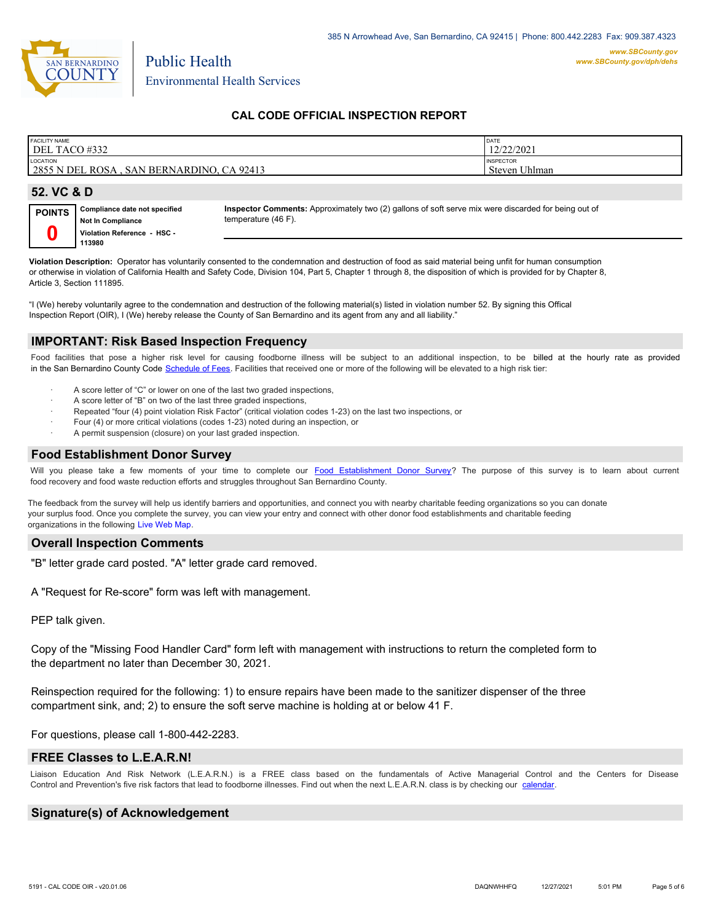

Environmental Health Services

Public Health

### **CAL CODE OFFICIAL INSPECTION REPORT**

| <b>FACILITY NAME</b>                      | DATE             |
|-------------------------------------------|------------------|
| DEL TACO #332                             | 12/22/2021       |
| LOCATION                                  | <b>INSPECTOR</b> |
| 2855 N DEL ROSA, SAN BERNARDINO, CA 92413 | Steven Uhlman    |
| 52. VC & D                                |                  |

| <b>POINTS</b> | Compliance date not specified | Insı |
|---------------|-------------------------------|------|
|               | Not In Compliance             | tem  |
|               | Violation Reference - HSC -   |      |
|               | 113980                        |      |

**Inspector Comments:** Approximately two (2) gallons of soft serve mix were discarded for being out of perature (46 F).

**Violation Description:** Operator has voluntarily consented to the condemnation and destruction of food as said material being unfit for human consumption or otherwise in violation of California Health and Safety Code, Division 104, Part 5, Chapter 1 through 8, the disposition of which is provided for by Chapter 8, Article 3, Section 111895.

"I (We) hereby voluntarily agree to the condemnation and destruction of the following material(s) listed in violation number 52. By signing this Offical Inspection Report (OIR), I (We) hereby release the County of San Bernardino and its agent from any and all liability."

#### **IMPORTANT: Risk Based Inspection Frequency**

Food facilities that pose a higher risk level for causing foodborne illness will be subject to an additional inspection, to be billed at the hourly rate as provided in the San Bernardino Count[y Code Schedule of Fees. Facilitie](https://codelibrary.amlegal.com/codes/sanbernardino/latest/sanberncty_ca/0-0-0-122474#JD_16.0213B)s that received one or more of the following will be elevated to a high risk tier:

- A score letter of "C" or lower on one of the last two graded inspections,
- A score letter of "B" on two of the last three graded inspections,
- Repeated "four (4) point violation Risk Factor" (critical violation codes 1-23) on the last two inspections, or
- · Four (4) or more critical violations (codes 1-23) noted during an inspection, or
- A permit suspension (closure) on your last graded inspection.

# **Food Establishment Donor Survey**

Will you please take a few moments of your time to complete our **Food Establishment Donor Survey**? The purpose of this survey is to learn about current food recovery and food waste reduction efforts and struggles throughout San Bernardino County.

The feedback from the survey will help us identify barriers and opportunities, and connect you with nearby charitable feeding organizations so you can donate your surplus food. Once you complete the survey, you can view your entry and connect with other donor food establishments and charitable feeding organizations in the fol[lowing Live Web Map.](https://arcg.is/WvjGb)

#### **Overall Inspection Comments**

"B" letter grade card posted. "A" letter grade card removed.

A "Request for Re-score" form was left with management.

PEP talk given.

Copy of the "Missing Food Handler Card" form left with management with instructions to return the completed form to the department no later than December 30, 2021.

Reinspection required for the following: 1) to ensure repairs have been made to the sanitizer dispenser of the three compartment sink, and; 2) to ensure the soft serve machine is holding at or below 41 F.

For questions, please call 1-800-442-2283.

#### **FREE Classes to L.E.A.R.N!**

Liaison Education And Risk Network (L.E.A.R.N.) is a FREE class based on the fundamentals of Active Managerial Control and the Centers for Disease Control and Prevention's five risk factors that lead to foodborne illnesses. Find out when the next L.E.A.R.N. class is by checking our [calendar.](http://wp.sbcounty.gov/dph/events/)

### **Signature(s) of Acknowledgement**